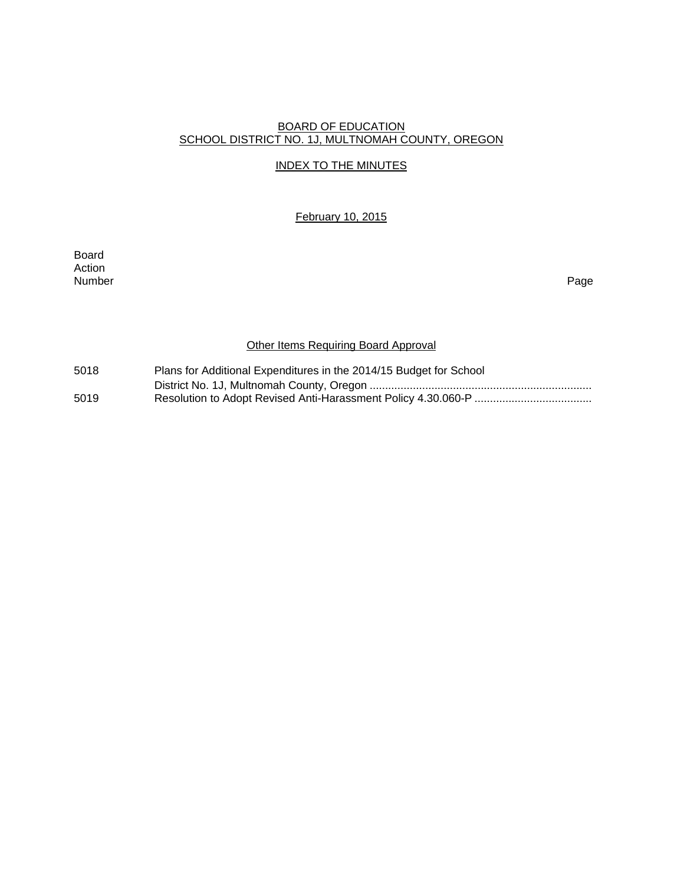# BOARD OF EDUCATION SCHOOL DISTRICT NO. 1J, MULTNOMAH COUNTY, OREGON

# INDEX TO THE MINUTES

February 10, 2015

Board Action<br>Number Number Page

# **Other Items Requiring Board Approval**

| 5018 | Plans for Additional Expenditures in the 2014/15 Budget for School |
|------|--------------------------------------------------------------------|
|      |                                                                    |
| 5019 |                                                                    |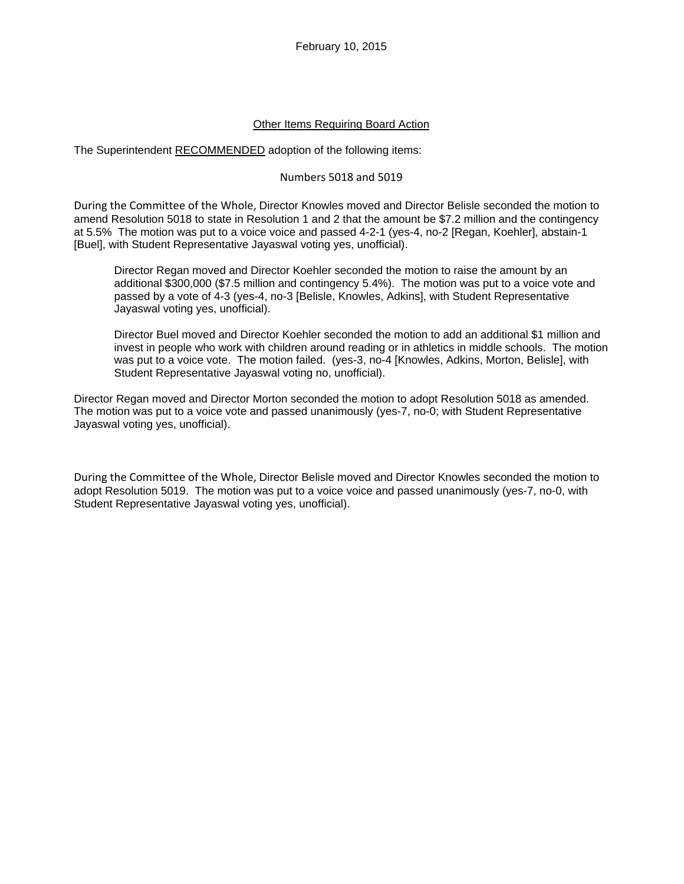#### Other Items Requiring Board Action

The Superintendent RECOMMENDED adoption of the following items:

#### Numbers 5018 and 5019

During the Committee of the Whole, Director Knowles moved and Director Belisle seconded the motion to amend Resolution 5018 to state in Resolution 1 and 2 that the amount be \$7.2 million and the contingency at 5.5% The motion was put to a voice voice and passed 4-2-1 (yes-4, no-2 [Regan, Koehler], abstain-1 [Buel], with Student Representative Jayaswal voting yes, unofficial).

Director Regan moved and Director Koehler seconded the motion to raise the amount by an additional \$300,000 (\$7.5 million and contingency 5.4%). The motion was put to a voice vote and passed by a vote of 4-3 (yes-4, no-3 [Belisle, Knowles, Adkins], with Student Representative Jayaswal voting yes, unofficial).

Director Buel moved and Director Koehler seconded the motion to add an additional \$1 million and invest in people who work with children around reading or in athletics in middle schools. The motion was put to a voice vote. The motion failed. (yes-3, no-4 [Knowles, Adkins, Morton, Belisle], with Student Representative Jayaswal voting no, unofficial).

Director Regan moved and Director Morton seconded the motion to adopt Resolution 5018 as amended. The motion was put to a voice vote and passed unanimously (yes-7, no-0; with Student Representative Jayaswal voting yes, unofficial).

During the Committee of the Whole, Director Belisle moved and Director Knowles seconded the motion to adopt Resolution 5019. The motion was put to a voice voice and passed unanimously (yes-7, no-0, with Student Representative Jayaswal voting yes, unofficial).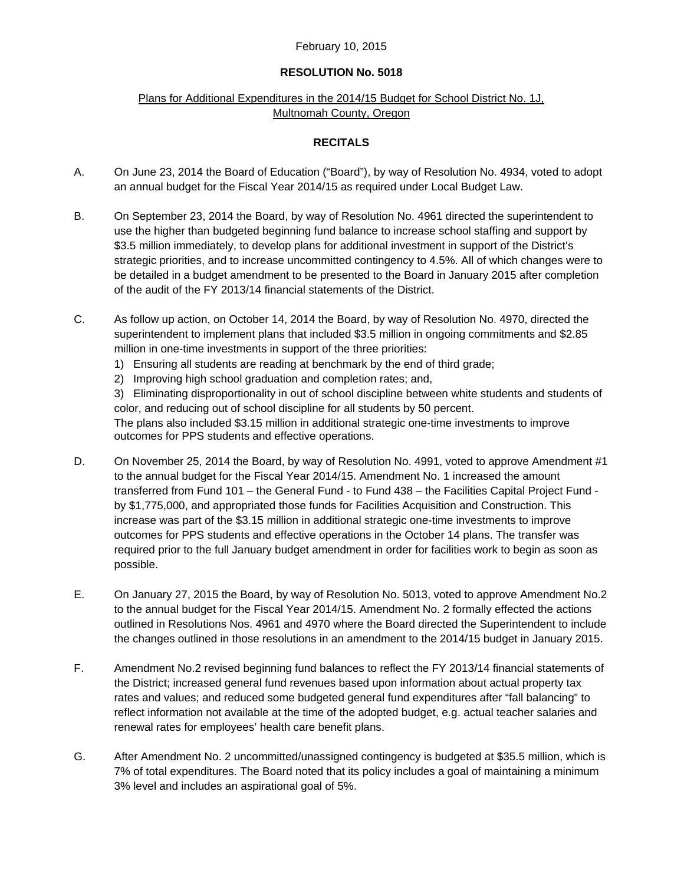#### February 10, 2015

#### **RESOLUTION No. 5018**

# Plans for Additional Expenditures in the 2014/15 Budget for School District No. 1J, Multnomah County, Oregon

### **RECITALS**

- A. On June 23, 2014 the Board of Education ("Board"), by way of Resolution No. 4934, voted to adopt an annual budget for the Fiscal Year 2014/15 as required under Local Budget Law.
- B. On September 23, 2014 the Board, by way of Resolution No. 4961 directed the superintendent to use the higher than budgeted beginning fund balance to increase school staffing and support by \$3.5 million immediately, to develop plans for additional investment in support of the District's strategic priorities, and to increase uncommitted contingency to 4.5%. All of which changes were to be detailed in a budget amendment to be presented to the Board in January 2015 after completion of the audit of the FY 2013/14 financial statements of the District.
- C. As follow up action, on October 14, 2014 the Board, by way of Resolution No. 4970, directed the superintendent to implement plans that included \$3.5 million in ongoing commitments and \$2.85 million in one-time investments in support of the three priorities:
	- 1) Ensuring all students are reading at benchmark by the end of third grade;
	- 2) Improving high school graduation and completion rates; and,

3) Eliminating disproportionality in out of school discipline between white students and students of color, and reducing out of school discipline for all students by 50 percent. The plans also included \$3.15 million in additional strategic one-time investments to improve outcomes for PPS students and effective operations.

- D. On November 25, 2014 the Board, by way of Resolution No. 4991, voted to approve Amendment #1 to the annual budget for the Fiscal Year 2014/15. Amendment No. 1 increased the amount transferred from Fund 101 – the General Fund - to Fund 438 – the Facilities Capital Project Fund by \$1,775,000, and appropriated those funds for Facilities Acquisition and Construction. This increase was part of the \$3.15 million in additional strategic one-time investments to improve outcomes for PPS students and effective operations in the October 14 plans. The transfer was required prior to the full January budget amendment in order for facilities work to begin as soon as possible.
- E. On January 27, 2015 the Board, by way of Resolution No. 5013, voted to approve Amendment No.2 to the annual budget for the Fiscal Year 2014/15. Amendment No. 2 formally effected the actions outlined in Resolutions Nos. 4961 and 4970 where the Board directed the Superintendent to include the changes outlined in those resolutions in an amendment to the 2014/15 budget in January 2015.
- F. Amendment No.2 revised beginning fund balances to reflect the FY 2013/14 financial statements of the District; increased general fund revenues based upon information about actual property tax rates and values; and reduced some budgeted general fund expenditures after "fall balancing" to reflect information not available at the time of the adopted budget, e.g. actual teacher salaries and renewal rates for employees' health care benefit plans.
- G. After Amendment No. 2 uncommitted/unassigned contingency is budgeted at \$35.5 million, which is 7% of total expenditures. The Board noted that its policy includes a goal of maintaining a minimum 3% level and includes an aspirational goal of 5%.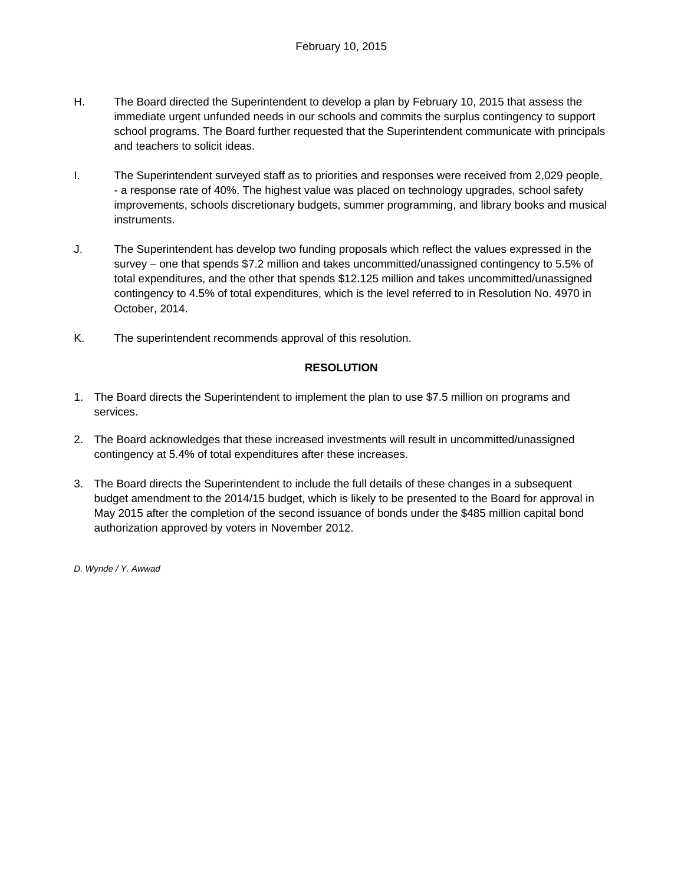- H. The Board directed the Superintendent to develop a plan by February 10, 2015 that assess the immediate urgent unfunded needs in our schools and commits the surplus contingency to support school programs. The Board further requested that the Superintendent communicate with principals and teachers to solicit ideas.
- I. The Superintendent surveyed staff as to priorities and responses were received from 2,029 people, - a response rate of 40%. The highest value was placed on technology upgrades, school safety improvements, schools discretionary budgets, summer programming, and library books and musical instruments.
- J. The Superintendent has develop two funding proposals which reflect the values expressed in the survey – one that spends \$7.2 million and takes uncommitted/unassigned contingency to 5.5% of total expenditures, and the other that spends \$12.125 million and takes uncommitted/unassigned contingency to 4.5% of total expenditures, which is the level referred to in Resolution No. 4970 in October, 2014.
- K. The superintendent recommends approval of this resolution.

# **RESOLUTION**

- 1. The Board directs the Superintendent to implement the plan to use \$7.5 million on programs and services.
- 2. The Board acknowledges that these increased investments will result in uncommitted/unassigned contingency at 5.4% of total expenditures after these increases.
- 3. The Board directs the Superintendent to include the full details of these changes in a subsequent budget amendment to the 2014/15 budget, which is likely to be presented to the Board for approval in May 2015 after the completion of the second issuance of bonds under the \$485 million capital bond authorization approved by voters in November 2012.

*D. Wynde / Y. Awwad*